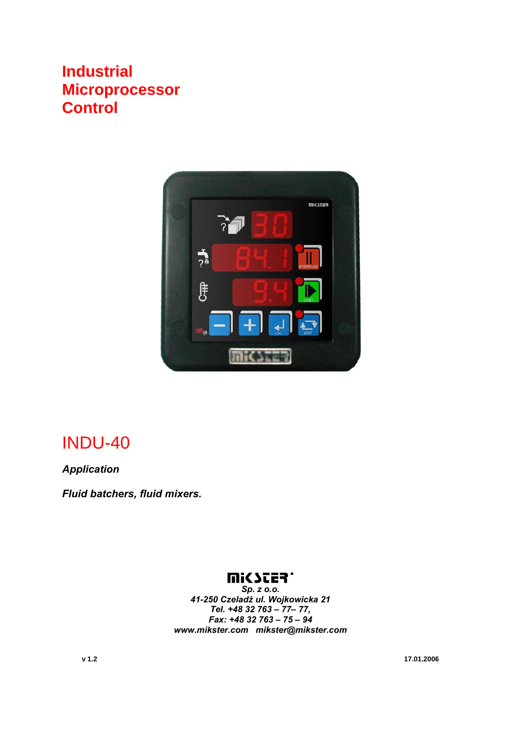# **Industrial Microprocessor Control**



# INDU-40

*Application* 

*Fluid batchers, fluid mixers.* 

#### **UISSES.**

*Sp. z o.o. 41-250 Czeladź ul. Wojkowicka 21 Tel. +48 32 763 – 77– 77, Fax: +48 32 763 – 75 – 94 www.mikster.com mikster@mikster.com* 

**v 1.2 17.01.2006**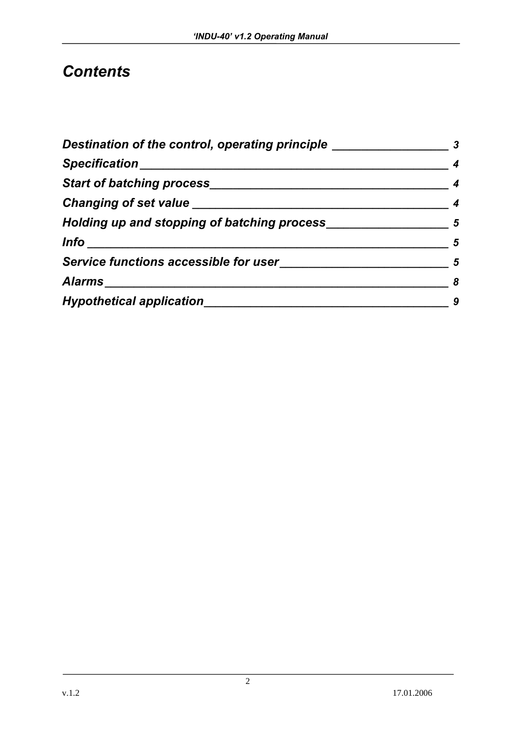# *Contents*

| Destination of the control, operating principle _______ |   |  |
|---------------------------------------------------------|---|--|
| Specification_______________                            |   |  |
|                                                         |   |  |
| Changing of set value ________                          |   |  |
| Holding up and stopping of batching process             | 5 |  |
| <u> Info___________________________</u>                 | 5 |  |
| Service functions accessible for user                   | 5 |  |
| Alarms                                                  |   |  |
| <b>Hypothetical application</b>                         |   |  |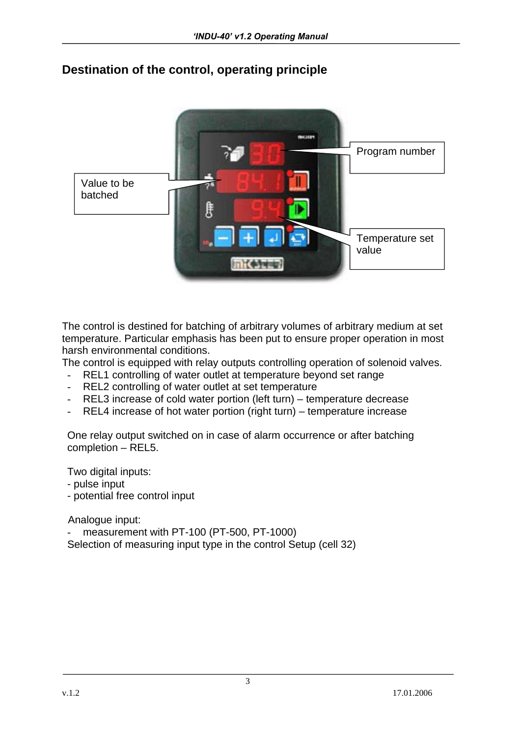

## **Destination of the control, operating principle**

The control is destined for batching of arbitrary volumes of arbitrary medium at set temperature. Particular emphasis has been put to ensure proper operation in most harsh environmental conditions.

The control is equipped with relay outputs controlling operation of solenoid valves.

- REL1 controlling of water outlet at temperature beyond set range
- REL2 controlling of water outlet at set temperature
- REL3 increase of cold water portion (left turn) temperature decrease
- REL4 increase of hot water portion (right turn) temperature increase

One relay output switched on in case of alarm occurrence or after batching completion – REL5.

Two digital inputs:

- pulse input
- potential free control input

Analogue input:

measurement with PT-100 (PT-500, PT-1000) Selection of measuring input type in the control Setup (cell 32)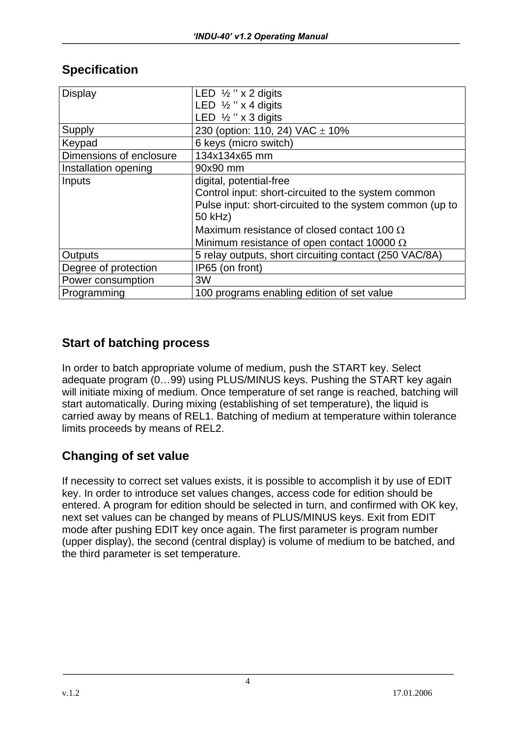| <b>Display</b>          | LED $\frac{1}{2}$ " x 2 digits                           |  |  |  |
|-------------------------|----------------------------------------------------------|--|--|--|
|                         | LED $\frac{1}{2}$ " x 4 digits                           |  |  |  |
|                         | LED $\frac{1}{2}$ " x 3 digits                           |  |  |  |
| Supply                  | 230 (option: 110, 24) VAC $\pm$ 10%                      |  |  |  |
| Keypad                  | 6 keys (micro switch)                                    |  |  |  |
| Dimensions of enclosure | 134x134x65 mm                                            |  |  |  |
| Installation opening    | 90x90 mm                                                 |  |  |  |
| Inputs                  | digital, potential-free                                  |  |  |  |
|                         | Control input: short-circuited to the system common      |  |  |  |
|                         | Pulse input: short-circuited to the system common (up to |  |  |  |
|                         | 50 kHz)                                                  |  |  |  |
|                         | Maximum resistance of closed contact 100 $\Omega$        |  |  |  |
|                         | Minimum resistance of open contact 10000 $\Omega$        |  |  |  |
| <b>Outputs</b>          | 5 relay outputs, short circuiting contact (250 VAC/8A)   |  |  |  |
| Degree of protection    | IP65 (on front)                                          |  |  |  |
| Power consumption       | 3W                                                       |  |  |  |
| Programming             | 100 programs enabling edition of set value               |  |  |  |

### **Specification**

#### **Start of batching process**

In order to batch appropriate volume of medium, push the START key. Select adequate program (0…99) using PLUS/MINUS keys. Pushing the START key again will initiate mixing of medium. Once temperature of set range is reached, batching will start automatically. During mixing (establishing of set temperature), the liquid is carried away by means of REL1. Batching of medium at temperature within tolerance limits proceeds by means of REL2.

## **Changing of set value**

If necessity to correct set values exists, it is possible to accomplish it by use of EDIT key. In order to introduce set values changes, access code for edition should be entered. A program for edition should be selected in turn, and confirmed with OK key, next set values can be changed by means of PLUS/MINUS keys. Exit from EDIT mode after pushing EDIT key once again. The first parameter is program number (upper display), the second (central display) is volume of medium to be batched, and the third parameter is set temperature.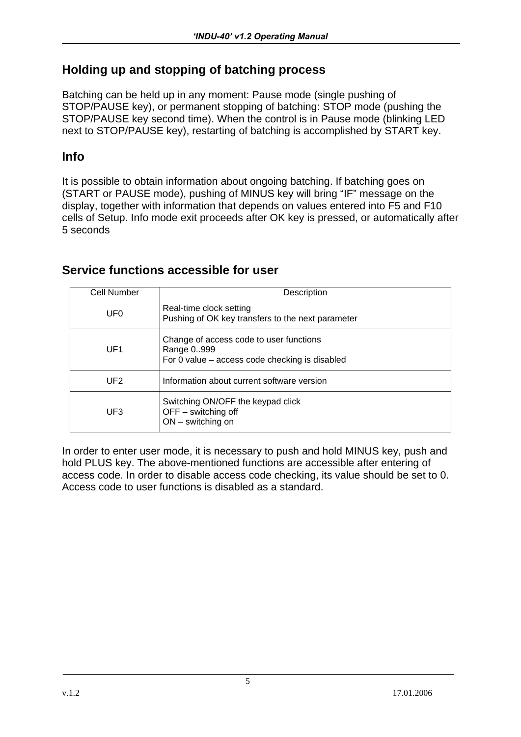#### **Holding up and stopping of batching process**

Batching can be held up in any moment: Pause mode (single pushing of STOP/PAUSE key), or permanent stopping of batching: STOP mode (pushing the STOP/PAUSE key second time). When the control is in Pause mode (blinking LED next to STOP/PAUSE key), restarting of batching is accomplished by START key.

#### **Info**

It is possible to obtain information about ongoing batching. If batching goes on (START or PAUSE mode), pushing of MINUS key will bring "IF" message on the display, together with information that depends on values entered into F5 and F10 cells of Setup. Info mode exit proceeds after OK key is pressed, or automatically after 5 seconds

| Cell Number     | Description                                                                                             |  |  |
|-----------------|---------------------------------------------------------------------------------------------------------|--|--|
| UF <sub>0</sub> | Real-time clock setting<br>Pushing of OK key transfers to the next parameter                            |  |  |
| UF <sub>1</sub> | Change of access code to user functions<br>Range 0999<br>For 0 value – access code checking is disabled |  |  |
| UF2             | Information about current software version                                                              |  |  |
| UF3             | Switching ON/OFF the keypad click<br>$OFF -$ switching off<br>$ON$ – switching on                       |  |  |

#### **Service functions accessible for user**

In order to enter user mode, it is necessary to push and hold MINUS key, push and hold PLUS key. The above-mentioned functions are accessible after entering of access code. In order to disable access code checking, its value should be set to 0. Access code to user functions is disabled as a standard.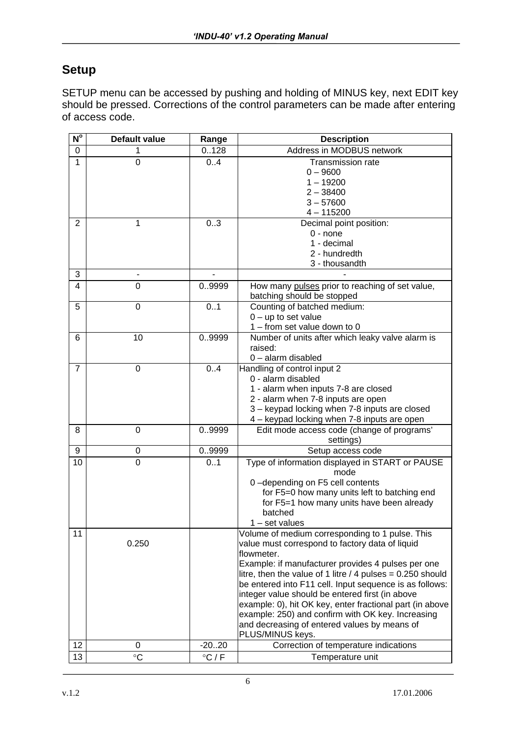#### **Setup**

SETUP menu can be accessed by pushing and holding of MINUS key, next EDIT key should be pressed. Corrections of the control parameters can be made after entering of access code.

| $N^{\circ}$    | <b>Default value</b> | Range           | <b>Description</b>                                                                                                                                                                                                                                                                                                                                                                                                                                                                                                                        |
|----------------|----------------------|-----------------|-------------------------------------------------------------------------------------------------------------------------------------------------------------------------------------------------------------------------------------------------------------------------------------------------------------------------------------------------------------------------------------------------------------------------------------------------------------------------------------------------------------------------------------------|
| 0              | 1                    | 0.128           | Address in MODBUS network                                                                                                                                                                                                                                                                                                                                                                                                                                                                                                                 |
| 1              | 0                    | 0.4             | <b>Transmission rate</b><br>$0 - 9600$<br>$1 - 19200$<br>$2 - 38400$<br>$3 - 57600$<br>$4 - 115200$                                                                                                                                                                                                                                                                                                                                                                                                                                       |
| 2              | 1                    | 0.3             | Decimal point position:<br>$0 - none$<br>1 - decimal<br>2 - hundredth<br>3 - thousandth                                                                                                                                                                                                                                                                                                                                                                                                                                                   |
| 3              |                      |                 |                                                                                                                                                                                                                                                                                                                                                                                                                                                                                                                                           |
| 4              | 0                    | 09999           | How many pulses prior to reaching of set value,<br>batching should be stopped                                                                                                                                                                                                                                                                                                                                                                                                                                                             |
| 5              | 0                    | 0.1             | Counting of batched medium:<br>$0 - up$ to set value<br>1 - from set value down to 0                                                                                                                                                                                                                                                                                                                                                                                                                                                      |
| 6              | 10                   | 09999           | Number of units after which leaky valve alarm is<br>raised:<br>0 - alarm disabled                                                                                                                                                                                                                                                                                                                                                                                                                                                         |
| $\overline{7}$ | $\overline{0}$       | 0.4             | Handling of control input 2<br>0 - alarm disabled<br>1 - alarm when inputs 7-8 are closed<br>2 - alarm when 7-8 inputs are open<br>3 - keypad locking when 7-8 inputs are closed<br>4 - keypad locking when 7-8 inputs are open                                                                                                                                                                                                                                                                                                           |
| 8              | 0                    | 09999           | Edit mode access code (change of programs'<br>settings)                                                                                                                                                                                                                                                                                                                                                                                                                                                                                   |
| 9              | 0                    | 09999           | Setup access code                                                                                                                                                                                                                                                                                                                                                                                                                                                                                                                         |
| 10             | $\overline{0}$       | 0.1             | Type of information displayed in START or PAUSE<br>mode<br>0-depending on F5 cell contents<br>for F5=0 how many units left to batching end<br>for F5=1 how many units have been already<br>batched<br>$1 - set values$                                                                                                                                                                                                                                                                                                                    |
| 11             | 0.250                |                 | Volume of medium corresponding to 1 pulse. This<br>value must correspond to factory data of liquid<br>flowmeter.<br>Example: if manufacturer provides 4 pulses per one<br>litre, then the value of 1 litre / 4 pulses = $0.250$ should<br>be entered into F11 cell. Input sequence is as follows:<br>integer value should be entered first (in above<br>example: 0), hit OK key, enter fractional part (in above<br>example: 250) and confirm with OK key. Increasing<br>and decreasing of entered values by means of<br>PLUS/MINUS keys. |
| 12             | 0                    | $-20.20$        | Correction of temperature indications                                                                                                                                                                                                                                                                                                                                                                                                                                                                                                     |
| 13             | $\circ$ C            | $\degree$ C / F | Temperature unit                                                                                                                                                                                                                                                                                                                                                                                                                                                                                                                          |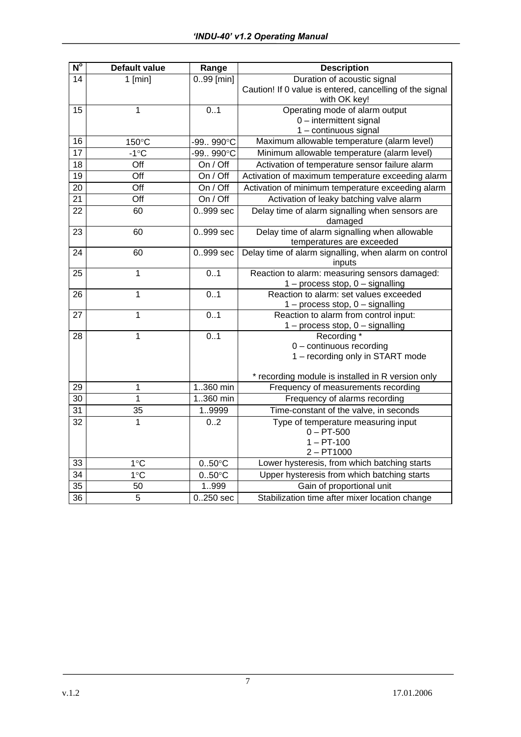| N <sup>o</sup>  | <b>Default value</b> | Range            | <b>Description</b>                                                                    |
|-----------------|----------------------|------------------|---------------------------------------------------------------------------------------|
| 14              | $1$ [min]            | $0.99$ [min]     | Duration of acoustic signal                                                           |
|                 |                      |                  | Caution! If 0 value is entered, cancelling of the signal<br>with OK key!              |
| 15              | 1                    | 0.1              | Operating mode of alarm output                                                        |
|                 |                      |                  | 0 - intermittent signal                                                               |
|                 |                      |                  | 1 - continuous signal                                                                 |
| 16              | 150°C                | -99 990°C        | Maximum allowable temperature (alarm level)                                           |
| 17              | $-1^{\circ}C$        | -99990°C         | Minimum allowable temperature (alarm level)                                           |
| 18              | Off                  | On / Off         | Activation of temperature sensor failure alarm                                        |
| $\overline{19}$ | Off                  | On / Off         | Activation of maximum temperature exceeding alarm                                     |
| $\overline{20}$ | $\overline{Off}$     | On / Off         | Activation of minimum temperature exceeding alarm                                     |
| 21              | Off                  | On / Off         | Activation of leaky batching valve alarm                                              |
| 22              | 60                   | 0.999 sec        | Delay time of alarm signalling when sensors are<br>damaged                            |
| 23              | 60                   | 0.999 sec        | Delay time of alarm signalling when allowable<br>temperatures are exceeded            |
| 24              | 60                   | 0999 sec         | Delay time of alarm signalling, when alarm on control<br>inputs                       |
| 25              | 1                    | 0.1              | Reaction to alarm: measuring sensors damaged:<br>$1$ – process stop, $0$ – signalling |
| 26              | 1                    | 0.1              | Reaction to alarm: set values exceeded<br>$1$ – process stop, $0$ – signalling        |
| 27              | 1                    | 0.1              | Reaction to alarm from control input:<br>$1$ – process stop, $0$ – signalling         |
| 28              | 1                    | 0.1              | Recording *                                                                           |
|                 |                      |                  | $0$ – continuous recording                                                            |
|                 |                      |                  | 1 - recording only in START mode                                                      |
|                 |                      |                  | * recording module is installed in R version only                                     |
| 29              | 1                    | 1360 min         | Frequency of measurements recording                                                   |
| 30              | $\mathbf 1$          | 1360 min         | Frequency of alarms recording                                                         |
| 31              | 35                   | 19999            | Time-constant of the valve, in seconds                                                |
| 32              | 1                    | 0.2              | Type of temperature measuring input                                                   |
|                 |                      |                  | $0 - PT-500$                                                                          |
|                 |                      |                  | $1 - PT-100$                                                                          |
|                 |                      |                  | $2 - P T 1000$                                                                        |
| 33              | 1°C                  | $0.50^{\circ}$ C | Lower hysteresis, from which batching starts                                          |
| $\overline{34}$ | 1°C                  | $0.50^{\circ}$ C | Upper hysteresis from which batching starts                                           |
| $\overline{35}$ | 50                   | 1999             | Gain of proportional unit                                                             |
| 36              | $\overline{5}$       | $0.250$ sec      | Stabilization time after mixer location change                                        |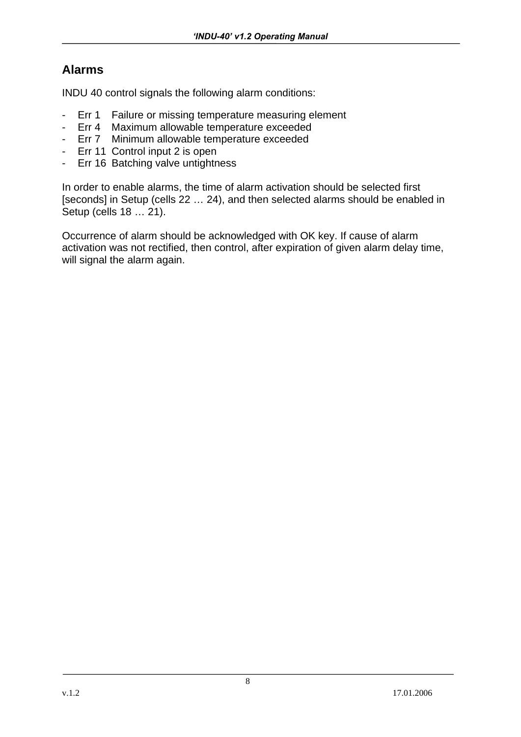## **Alarms**

INDU 40 control signals the following alarm conditions:

- Err 1 Failure or missing temperature measuring element
- Err 4 Maximum allowable temperature exceeded
- Err 7 Minimum allowable temperature exceeded
- Err 11 Control input 2 is open
- Err 16 Batching valve untightness

In order to enable alarms, the time of alarm activation should be selected first [seconds] in Setup (cells 22 … 24), and then selected alarms should be enabled in Setup (cells 18 … 21).

Occurrence of alarm should be acknowledged with OK key. If cause of alarm activation was not rectified, then control, after expiration of given alarm delay time, will signal the alarm again.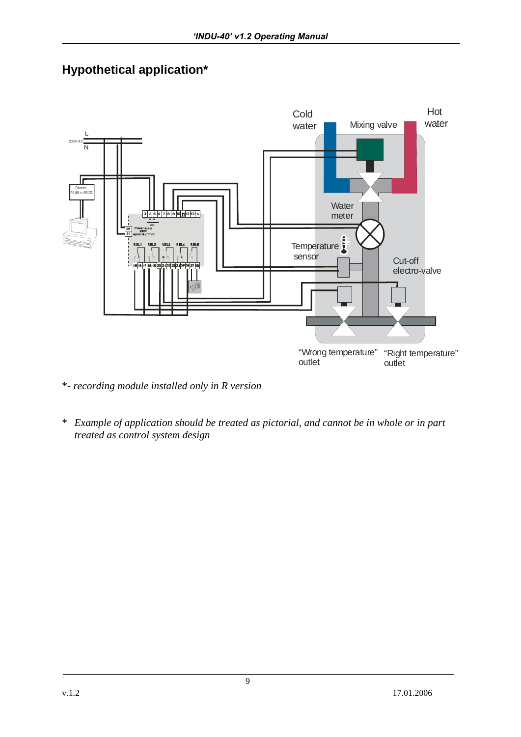# **Hypothetical application\***



\*- *recording module installed only in R version*

\* *Example of application should be treated as pictorial, and cannot be in whole or in part treated as control system design*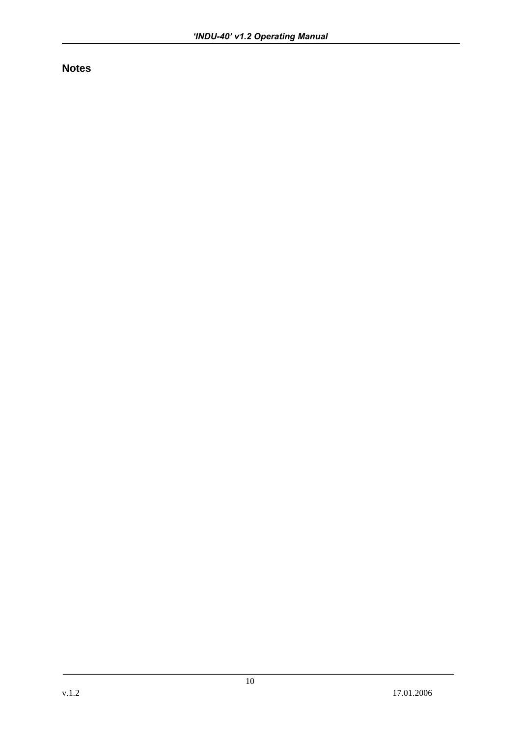**Notes**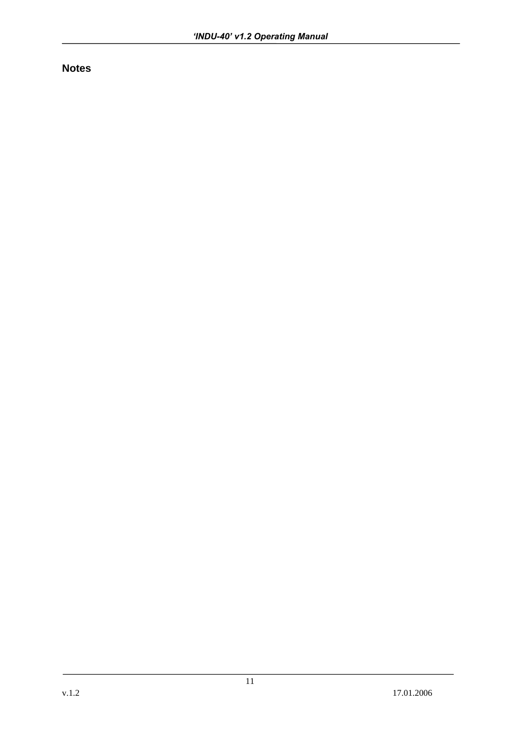**Notes**